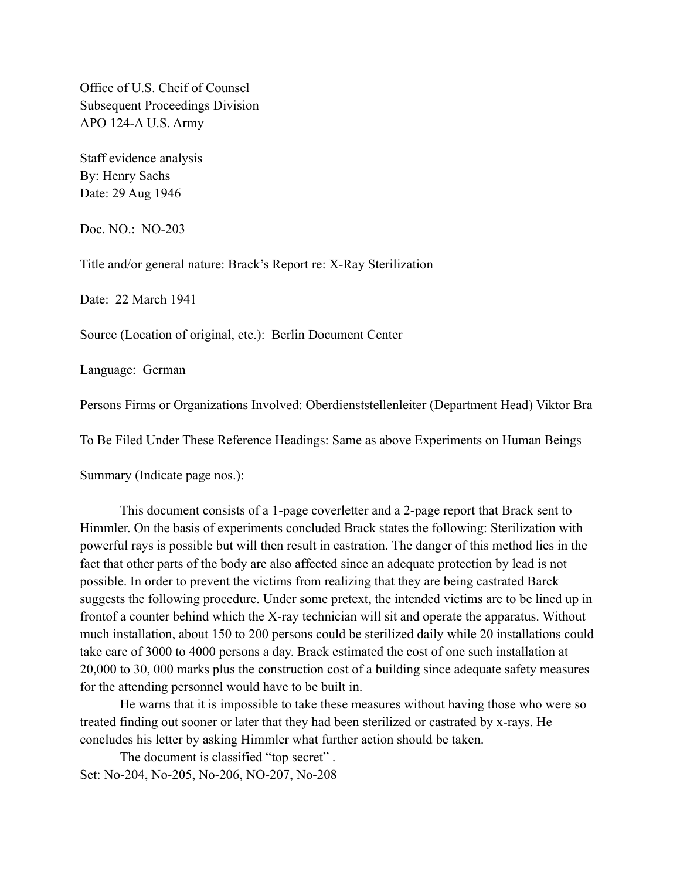Office of U.S. Cheif of Counsel Subsequent Proceedings Division APO 124-A U.S. Army

Staff evidence analysis By: Henry Sachs Date: 29 Aug 1946

Doc. NO.: NO-203

Title and/or general nature: Brack's Report re: X-Ray Sterilization

Date: 22 March 1941

Source (Location of original, etc.): Berlin Document Center

Language: German

Persons Firms or Organizations Involved: Oberdienststellenleiter (Department Head) Viktor Bra

To Be Filed Under These Reference Headings: Same as above Experiments on Human Beings

Summary (Indicate page nos.):

This document consists of a 1-page coverletter and a 2-page report that Brack sent to Himmler. On the basis of experiments concluded Brack states the following: Sterilization with powerful rays is possible but will then result in castration. The danger of this method lies in the fact that other parts of the body are also affected since an adequate protection by lead is not possible. In order to prevent the victims from realizing that they are being castrated Barck suggests the following procedure. Under some pretext, the intended victims are to be lined up in frontof a counter behind which the X-ray technician will sit and operate the apparatus. Without much installation, about 150 to 200 persons could be sterilized daily while 20 installations could take care of 3000 to 4000 persons a day. Brack estimated the cost of one such installation at 20,000 to 30, 000 marks plus the construction cost of a building since adequate safety measures for the attending personnel would have to be built in.

He warns that it is impossible to take these measures without having those who were so treated finding out sooner or later that they had been sterilized or castrated by x-rays. He concludes his letter by asking Himmler what further action should be taken.

The document is classified "top secret" . Set: No-204, No-205, No-206, NO-207, No-208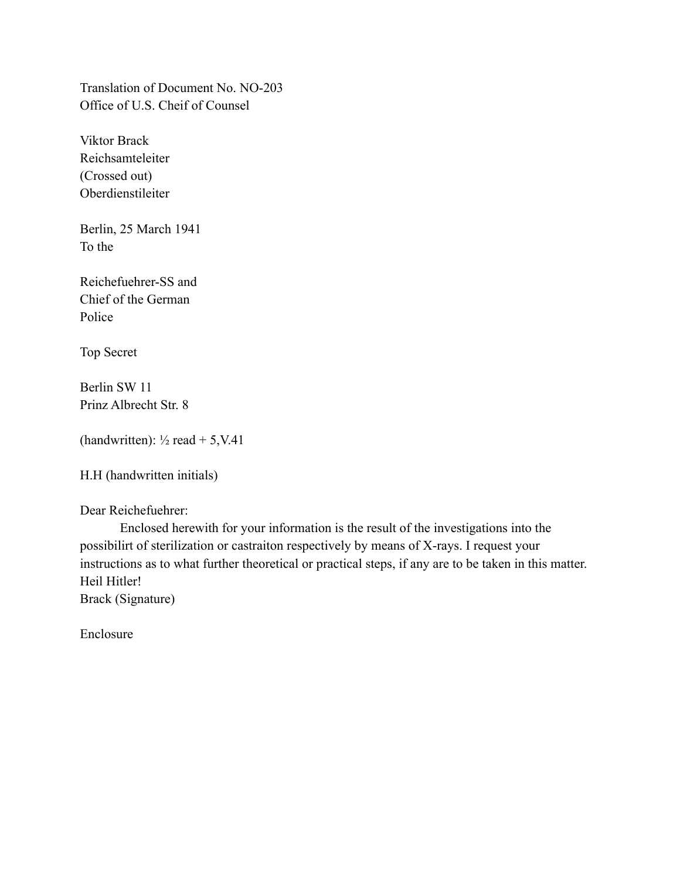Translation of Document No. NO-203 Office of U.S. Cheif of Counsel

Viktor Brack Reichsamteleiter (Crossed out) Oberdienstileiter

Berlin, 25 March 1941 To the

Reichefuehrer-SS and Chief of the German Police

Top Secret

Berlin SW 11 Prinz Albrecht Str. 8

```
(handwritten): \frac{1}{2} read + 5, V.41
```
H.H (handwritten initials)

Dear Reichefuehrer:

Enclosed herewith for your information is the result of the investigations into the possibilirt of sterilization or castraiton respectively by means of X-rays. I request your instructions as to what further theoretical or practical steps, if any are to be taken in this matter. Heil Hitler!

Brack (Signature)

Enclosure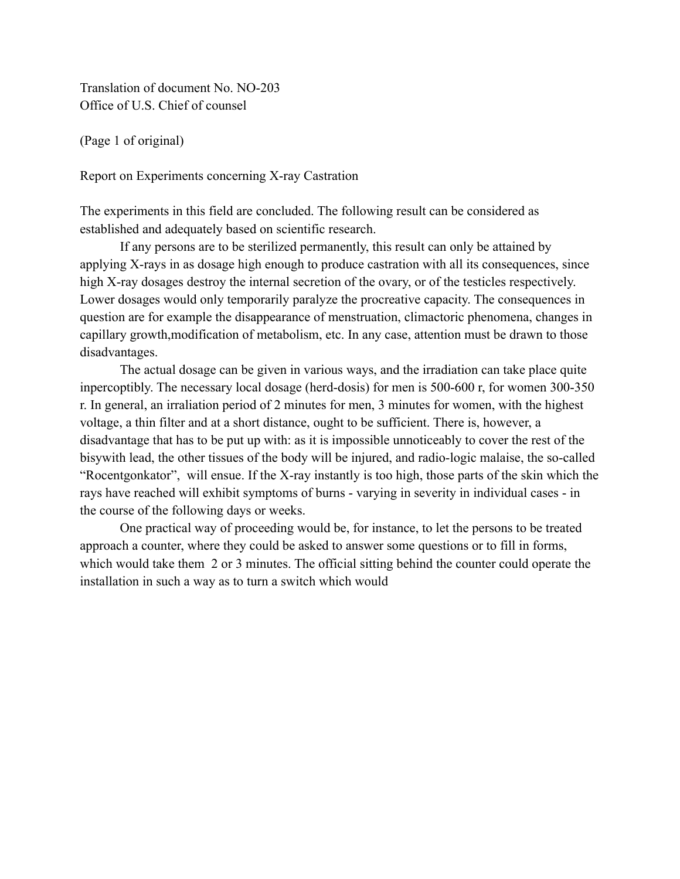Translation of document No. NO-203 Office of U.S. Chief of counsel

(Page 1 of original)

Report on Experiments concerning X-ray Castration

The experiments in this field are concluded. The following result can be considered as established and adequately based on scientific research.

If any persons are to be sterilized permanently, this result can only be attained by applying X-rays in as dosage high enough to produce castration with all its consequences, since high X-ray dosages destroy the internal secretion of the ovary, or of the testicles respectively. Lower dosages would only temporarily paralyze the procreative capacity. The consequences in question are for example the disappearance of menstruation, climactoric phenomena, changes in capillary growth,modification of metabolism, etc. In any case, attention must be drawn to those disadvantages.

The actual dosage can be given in various ways, and the irradiation can take place quite inpercoptibly. The necessary local dosage (herd-dosis) for men is 500-600 r, for women 300-350 r. In general, an irraliation period of 2 minutes for men, 3 minutes for women, with the highest voltage, a thin filter and at a short distance, ought to be sufficient. There is, however, a disadvantage that has to be put up with: as it is impossible unnoticeably to cover the rest of the bisywith lead, the other tissues of the body will be injured, and radio-logic malaise, the so-called "Rocentgonkator", will ensue. If the X-ray instantly is too high, those parts of the skin which the rays have reached will exhibit symptoms of burns - varying in severity in individual cases - in the course of the following days or weeks.

One practical way of proceeding would be, for instance, to let the persons to be treated approach a counter, where they could be asked to answer some questions or to fill in forms, which would take them 2 or 3 minutes. The official sitting behind the counter could operate the installation in such a way as to turn a switch which would